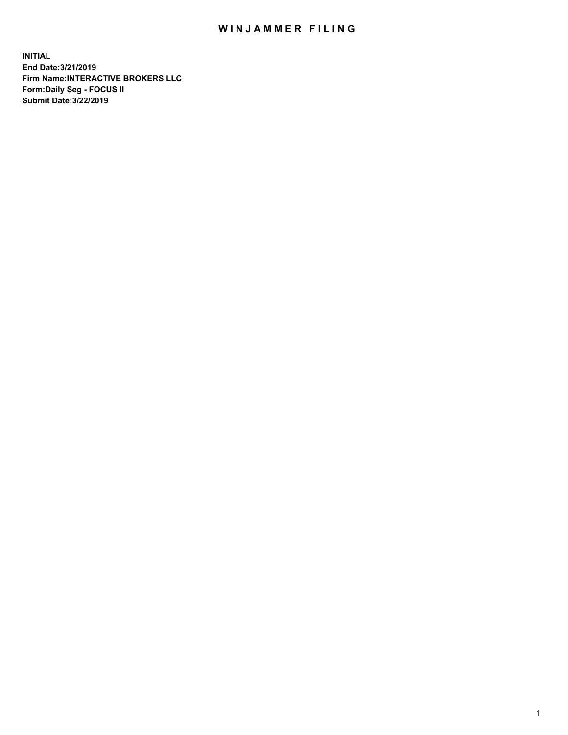## WIN JAMMER FILING

**INITIAL End Date:3/21/2019 Firm Name:INTERACTIVE BROKERS LLC Form:Daily Seg - FOCUS II Submit Date:3/22/2019**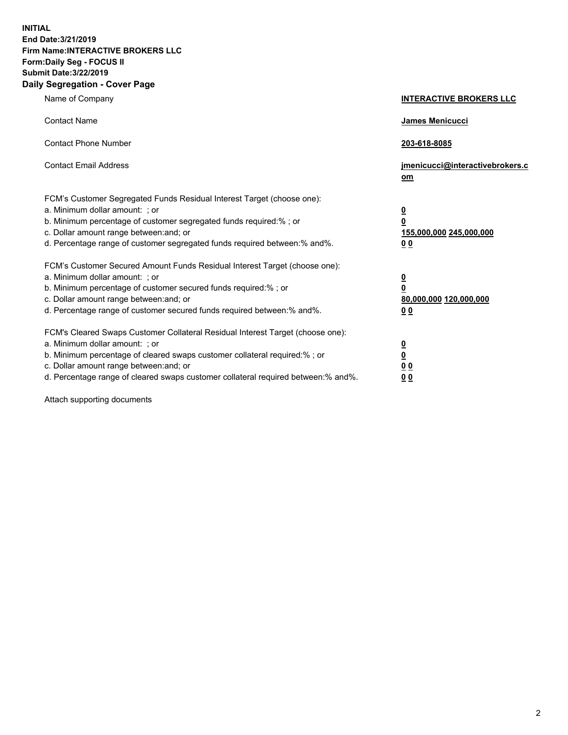**INITIAL End Date:3/21/2019 Firm Name:INTERACTIVE BROKERS LLC Form:Daily Seg - FOCUS II Submit Date:3/22/2019 Daily Segregation - Cover Page**

| Name of Company                                                                                                                                                                                                                                                                                                                | <b>INTERACTIVE BROKERS LLC</b>                                                                  |
|--------------------------------------------------------------------------------------------------------------------------------------------------------------------------------------------------------------------------------------------------------------------------------------------------------------------------------|-------------------------------------------------------------------------------------------------|
| <b>Contact Name</b>                                                                                                                                                                                                                                                                                                            | <b>James Menicucci</b>                                                                          |
| <b>Contact Phone Number</b>                                                                                                                                                                                                                                                                                                    | 203-618-8085                                                                                    |
| <b>Contact Email Address</b>                                                                                                                                                                                                                                                                                                   | jmenicucci@interactivebrokers.c<br><u>om</u>                                                    |
| FCM's Customer Segregated Funds Residual Interest Target (choose one):<br>a. Minimum dollar amount: ; or<br>b. Minimum percentage of customer segregated funds required:% ; or<br>c. Dollar amount range between: and; or<br>d. Percentage range of customer segregated funds required between:% and%.                         | $\overline{\mathbf{0}}$<br>$\overline{\mathbf{0}}$<br>155,000,000 245,000,000<br>0 <sub>0</sub> |
| FCM's Customer Secured Amount Funds Residual Interest Target (choose one):<br>a. Minimum dollar amount: ; or<br>b. Minimum percentage of customer secured funds required:%; or<br>c. Dollar amount range between: and; or<br>d. Percentage range of customer secured funds required between:% and%.                            | $\overline{\mathbf{0}}$<br>$\overline{\mathbf{0}}$<br>80,000,000 120,000,000<br>0 <sub>0</sub>  |
| FCM's Cleared Swaps Customer Collateral Residual Interest Target (choose one):<br>a. Minimum dollar amount: ; or<br>b. Minimum percentage of cleared swaps customer collateral required:% ; or<br>c. Dollar amount range between: and; or<br>d. Percentage range of cleared swaps customer collateral required between:% and%. | $\overline{\mathbf{0}}$<br>$\underline{\mathbf{0}}$<br>0 <sub>0</sub><br>00                     |

Attach supporting documents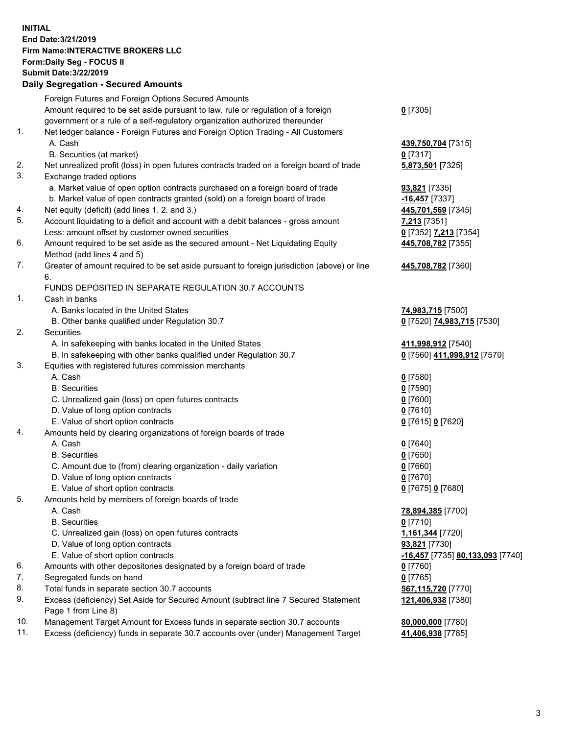## **INITIAL End Date:3/21/2019 Firm Name:INTERACTIVE BROKERS LLC Form:Daily Seg - FOCUS II Submit Date:3/22/2019 Daily Segregation - Secured Amounts**

| Daily Segregation - Secured Amounts                                              |                                                                                                                                                                                                                                                                                                                                                                                                                                                                                                                                                                                                                                                                                                                                                                                                                                                                                                                                                                                                                                                                                                                                                                                                                                                                                                                                                                                                                                                                                                                                                                                                                                                                                                                                                                                                                                                                                                                                                                  |
|----------------------------------------------------------------------------------|------------------------------------------------------------------------------------------------------------------------------------------------------------------------------------------------------------------------------------------------------------------------------------------------------------------------------------------------------------------------------------------------------------------------------------------------------------------------------------------------------------------------------------------------------------------------------------------------------------------------------------------------------------------------------------------------------------------------------------------------------------------------------------------------------------------------------------------------------------------------------------------------------------------------------------------------------------------------------------------------------------------------------------------------------------------------------------------------------------------------------------------------------------------------------------------------------------------------------------------------------------------------------------------------------------------------------------------------------------------------------------------------------------------------------------------------------------------------------------------------------------------------------------------------------------------------------------------------------------------------------------------------------------------------------------------------------------------------------------------------------------------------------------------------------------------------------------------------------------------------------------------------------------------------------------------------------------------|
| Foreign Futures and Foreign Options Secured Amounts                              |                                                                                                                                                                                                                                                                                                                                                                                                                                                                                                                                                                                                                                                                                                                                                                                                                                                                                                                                                                                                                                                                                                                                                                                                                                                                                                                                                                                                                                                                                                                                                                                                                                                                                                                                                                                                                                                                                                                                                                  |
| Amount required to be set aside pursuant to law, rule or regulation of a foreign | $0$ [7305]                                                                                                                                                                                                                                                                                                                                                                                                                                                                                                                                                                                                                                                                                                                                                                                                                                                                                                                                                                                                                                                                                                                                                                                                                                                                                                                                                                                                                                                                                                                                                                                                                                                                                                                                                                                                                                                                                                                                                       |
|                                                                                  |                                                                                                                                                                                                                                                                                                                                                                                                                                                                                                                                                                                                                                                                                                                                                                                                                                                                                                                                                                                                                                                                                                                                                                                                                                                                                                                                                                                                                                                                                                                                                                                                                                                                                                                                                                                                                                                                                                                                                                  |
|                                                                                  |                                                                                                                                                                                                                                                                                                                                                                                                                                                                                                                                                                                                                                                                                                                                                                                                                                                                                                                                                                                                                                                                                                                                                                                                                                                                                                                                                                                                                                                                                                                                                                                                                                                                                                                                                                                                                                                                                                                                                                  |
|                                                                                  | 439,750,704 [7315]                                                                                                                                                                                                                                                                                                                                                                                                                                                                                                                                                                                                                                                                                                                                                                                                                                                                                                                                                                                                                                                                                                                                                                                                                                                                                                                                                                                                                                                                                                                                                                                                                                                                                                                                                                                                                                                                                                                                               |
|                                                                                  | $0$ [7317]                                                                                                                                                                                                                                                                                                                                                                                                                                                                                                                                                                                                                                                                                                                                                                                                                                                                                                                                                                                                                                                                                                                                                                                                                                                                                                                                                                                                                                                                                                                                                                                                                                                                                                                                                                                                                                                                                                                                                       |
|                                                                                  | 5,873,501 [7325]                                                                                                                                                                                                                                                                                                                                                                                                                                                                                                                                                                                                                                                                                                                                                                                                                                                                                                                                                                                                                                                                                                                                                                                                                                                                                                                                                                                                                                                                                                                                                                                                                                                                                                                                                                                                                                                                                                                                                 |
|                                                                                  |                                                                                                                                                                                                                                                                                                                                                                                                                                                                                                                                                                                                                                                                                                                                                                                                                                                                                                                                                                                                                                                                                                                                                                                                                                                                                                                                                                                                                                                                                                                                                                                                                                                                                                                                                                                                                                                                                                                                                                  |
|                                                                                  | 93,821 [7335]                                                                                                                                                                                                                                                                                                                                                                                                                                                                                                                                                                                                                                                                                                                                                                                                                                                                                                                                                                                                                                                                                                                                                                                                                                                                                                                                                                                                                                                                                                                                                                                                                                                                                                                                                                                                                                                                                                                                                    |
|                                                                                  | $-16,457$ [7337]                                                                                                                                                                                                                                                                                                                                                                                                                                                                                                                                                                                                                                                                                                                                                                                                                                                                                                                                                                                                                                                                                                                                                                                                                                                                                                                                                                                                                                                                                                                                                                                                                                                                                                                                                                                                                                                                                                                                                 |
|                                                                                  | 445,701,569 [7345]                                                                                                                                                                                                                                                                                                                                                                                                                                                                                                                                                                                                                                                                                                                                                                                                                                                                                                                                                                                                                                                                                                                                                                                                                                                                                                                                                                                                                                                                                                                                                                                                                                                                                                                                                                                                                                                                                                                                               |
|                                                                                  | 7,213 [7351]                                                                                                                                                                                                                                                                                                                                                                                                                                                                                                                                                                                                                                                                                                                                                                                                                                                                                                                                                                                                                                                                                                                                                                                                                                                                                                                                                                                                                                                                                                                                                                                                                                                                                                                                                                                                                                                                                                                                                     |
|                                                                                  | 0 [7352] 7,213 [7354]                                                                                                                                                                                                                                                                                                                                                                                                                                                                                                                                                                                                                                                                                                                                                                                                                                                                                                                                                                                                                                                                                                                                                                                                                                                                                                                                                                                                                                                                                                                                                                                                                                                                                                                                                                                                                                                                                                                                            |
|                                                                                  | 445,708,782 [7355]                                                                                                                                                                                                                                                                                                                                                                                                                                                                                                                                                                                                                                                                                                                                                                                                                                                                                                                                                                                                                                                                                                                                                                                                                                                                                                                                                                                                                                                                                                                                                                                                                                                                                                                                                                                                                                                                                                                                               |
|                                                                                  |                                                                                                                                                                                                                                                                                                                                                                                                                                                                                                                                                                                                                                                                                                                                                                                                                                                                                                                                                                                                                                                                                                                                                                                                                                                                                                                                                                                                                                                                                                                                                                                                                                                                                                                                                                                                                                                                                                                                                                  |
|                                                                                  | 445,708,782 [7360]                                                                                                                                                                                                                                                                                                                                                                                                                                                                                                                                                                                                                                                                                                                                                                                                                                                                                                                                                                                                                                                                                                                                                                                                                                                                                                                                                                                                                                                                                                                                                                                                                                                                                                                                                                                                                                                                                                                                               |
|                                                                                  |                                                                                                                                                                                                                                                                                                                                                                                                                                                                                                                                                                                                                                                                                                                                                                                                                                                                                                                                                                                                                                                                                                                                                                                                                                                                                                                                                                                                                                                                                                                                                                                                                                                                                                                                                                                                                                                                                                                                                                  |
|                                                                                  |                                                                                                                                                                                                                                                                                                                                                                                                                                                                                                                                                                                                                                                                                                                                                                                                                                                                                                                                                                                                                                                                                                                                                                                                                                                                                                                                                                                                                                                                                                                                                                                                                                                                                                                                                                                                                                                                                                                                                                  |
|                                                                                  |                                                                                                                                                                                                                                                                                                                                                                                                                                                                                                                                                                                                                                                                                                                                                                                                                                                                                                                                                                                                                                                                                                                                                                                                                                                                                                                                                                                                                                                                                                                                                                                                                                                                                                                                                                                                                                                                                                                                                                  |
|                                                                                  | 74,983,715 [7500]<br>0 [7520] 74,983,715 [7530]                                                                                                                                                                                                                                                                                                                                                                                                                                                                                                                                                                                                                                                                                                                                                                                                                                                                                                                                                                                                                                                                                                                                                                                                                                                                                                                                                                                                                                                                                                                                                                                                                                                                                                                                                                                                                                                                                                                  |
|                                                                                  |                                                                                                                                                                                                                                                                                                                                                                                                                                                                                                                                                                                                                                                                                                                                                                                                                                                                                                                                                                                                                                                                                                                                                                                                                                                                                                                                                                                                                                                                                                                                                                                                                                                                                                                                                                                                                                                                                                                                                                  |
|                                                                                  | 411,998,912 [7540]                                                                                                                                                                                                                                                                                                                                                                                                                                                                                                                                                                                                                                                                                                                                                                                                                                                                                                                                                                                                                                                                                                                                                                                                                                                                                                                                                                                                                                                                                                                                                                                                                                                                                                                                                                                                                                                                                                                                               |
|                                                                                  | 0 [7560] 411,998,912 [7570]                                                                                                                                                                                                                                                                                                                                                                                                                                                                                                                                                                                                                                                                                                                                                                                                                                                                                                                                                                                                                                                                                                                                                                                                                                                                                                                                                                                                                                                                                                                                                                                                                                                                                                                                                                                                                                                                                                                                      |
|                                                                                  |                                                                                                                                                                                                                                                                                                                                                                                                                                                                                                                                                                                                                                                                                                                                                                                                                                                                                                                                                                                                                                                                                                                                                                                                                                                                                                                                                                                                                                                                                                                                                                                                                                                                                                                                                                                                                                                                                                                                                                  |
|                                                                                  | $0$ [7580]                                                                                                                                                                                                                                                                                                                                                                                                                                                                                                                                                                                                                                                                                                                                                                                                                                                                                                                                                                                                                                                                                                                                                                                                                                                                                                                                                                                                                                                                                                                                                                                                                                                                                                                                                                                                                                                                                                                                                       |
|                                                                                  | $0$ [7590]                                                                                                                                                                                                                                                                                                                                                                                                                                                                                                                                                                                                                                                                                                                                                                                                                                                                                                                                                                                                                                                                                                                                                                                                                                                                                                                                                                                                                                                                                                                                                                                                                                                                                                                                                                                                                                                                                                                                                       |
|                                                                                  | $0$ [7600]                                                                                                                                                                                                                                                                                                                                                                                                                                                                                                                                                                                                                                                                                                                                                                                                                                                                                                                                                                                                                                                                                                                                                                                                                                                                                                                                                                                                                                                                                                                                                                                                                                                                                                                                                                                                                                                                                                                                                       |
|                                                                                  | $0$ [7610]                                                                                                                                                                                                                                                                                                                                                                                                                                                                                                                                                                                                                                                                                                                                                                                                                                                                                                                                                                                                                                                                                                                                                                                                                                                                                                                                                                                                                                                                                                                                                                                                                                                                                                                                                                                                                                                                                                                                                       |
|                                                                                  | 0 [7615] 0 [7620]                                                                                                                                                                                                                                                                                                                                                                                                                                                                                                                                                                                                                                                                                                                                                                                                                                                                                                                                                                                                                                                                                                                                                                                                                                                                                                                                                                                                                                                                                                                                                                                                                                                                                                                                                                                                                                                                                                                                                |
| Amounts held by clearing organizations of foreign boards of trade                |                                                                                                                                                                                                                                                                                                                                                                                                                                                                                                                                                                                                                                                                                                                                                                                                                                                                                                                                                                                                                                                                                                                                                                                                                                                                                                                                                                                                                                                                                                                                                                                                                                                                                                                                                                                                                                                                                                                                                                  |
| A. Cash                                                                          | $0$ [7640]                                                                                                                                                                                                                                                                                                                                                                                                                                                                                                                                                                                                                                                                                                                                                                                                                                                                                                                                                                                                                                                                                                                                                                                                                                                                                                                                                                                                                                                                                                                                                                                                                                                                                                                                                                                                                                                                                                                                                       |
| <b>B.</b> Securities                                                             | $0$ [7650]                                                                                                                                                                                                                                                                                                                                                                                                                                                                                                                                                                                                                                                                                                                                                                                                                                                                                                                                                                                                                                                                                                                                                                                                                                                                                                                                                                                                                                                                                                                                                                                                                                                                                                                                                                                                                                                                                                                                                       |
| C. Amount due to (from) clearing organization - daily variation                  | $0$ [7660]                                                                                                                                                                                                                                                                                                                                                                                                                                                                                                                                                                                                                                                                                                                                                                                                                                                                                                                                                                                                                                                                                                                                                                                                                                                                                                                                                                                                                                                                                                                                                                                                                                                                                                                                                                                                                                                                                                                                                       |
| D. Value of long option contracts                                                | $0$ [7670]                                                                                                                                                                                                                                                                                                                                                                                                                                                                                                                                                                                                                                                                                                                                                                                                                                                                                                                                                                                                                                                                                                                                                                                                                                                                                                                                                                                                                                                                                                                                                                                                                                                                                                                                                                                                                                                                                                                                                       |
| E. Value of short option contracts                                               | 0 [7675] 0 [7680]                                                                                                                                                                                                                                                                                                                                                                                                                                                                                                                                                                                                                                                                                                                                                                                                                                                                                                                                                                                                                                                                                                                                                                                                                                                                                                                                                                                                                                                                                                                                                                                                                                                                                                                                                                                                                                                                                                                                                |
| Amounts held by members of foreign boards of trade                               |                                                                                                                                                                                                                                                                                                                                                                                                                                                                                                                                                                                                                                                                                                                                                                                                                                                                                                                                                                                                                                                                                                                                                                                                                                                                                                                                                                                                                                                                                                                                                                                                                                                                                                                                                                                                                                                                                                                                                                  |
| A. Cash                                                                          | 78,894,385 [7700]                                                                                                                                                                                                                                                                                                                                                                                                                                                                                                                                                                                                                                                                                                                                                                                                                                                                                                                                                                                                                                                                                                                                                                                                                                                                                                                                                                                                                                                                                                                                                                                                                                                                                                                                                                                                                                                                                                                                                |
|                                                                                  | $0$ [7710]                                                                                                                                                                                                                                                                                                                                                                                                                                                                                                                                                                                                                                                                                                                                                                                                                                                                                                                                                                                                                                                                                                                                                                                                                                                                                                                                                                                                                                                                                                                                                                                                                                                                                                                                                                                                                                                                                                                                                       |
|                                                                                  | 1,161,344 [7720]                                                                                                                                                                                                                                                                                                                                                                                                                                                                                                                                                                                                                                                                                                                                                                                                                                                                                                                                                                                                                                                                                                                                                                                                                                                                                                                                                                                                                                                                                                                                                                                                                                                                                                                                                                                                                                                                                                                                                 |
|                                                                                  | 93,821 [7730]                                                                                                                                                                                                                                                                                                                                                                                                                                                                                                                                                                                                                                                                                                                                                                                                                                                                                                                                                                                                                                                                                                                                                                                                                                                                                                                                                                                                                                                                                                                                                                                                                                                                                                                                                                                                                                                                                                                                                    |
|                                                                                  | <u>-16,457</u> [7735] 80,133,093 [7740]                                                                                                                                                                                                                                                                                                                                                                                                                                                                                                                                                                                                                                                                                                                                                                                                                                                                                                                                                                                                                                                                                                                                                                                                                                                                                                                                                                                                                                                                                                                                                                                                                                                                                                                                                                                                                                                                                                                          |
|                                                                                  | 0 [7760]                                                                                                                                                                                                                                                                                                                                                                                                                                                                                                                                                                                                                                                                                                                                                                                                                                                                                                                                                                                                                                                                                                                                                                                                                                                                                                                                                                                                                                                                                                                                                                                                                                                                                                                                                                                                                                                                                                                                                         |
|                                                                                  | $0$ [7765]                                                                                                                                                                                                                                                                                                                                                                                                                                                                                                                                                                                                                                                                                                                                                                                                                                                                                                                                                                                                                                                                                                                                                                                                                                                                                                                                                                                                                                                                                                                                                                                                                                                                                                                                                                                                                                                                                                                                                       |
|                                                                                  | 567,115,720 [7770]                                                                                                                                                                                                                                                                                                                                                                                                                                                                                                                                                                                                                                                                                                                                                                                                                                                                                                                                                                                                                                                                                                                                                                                                                                                                                                                                                                                                                                                                                                                                                                                                                                                                                                                                                                                                                                                                                                                                               |
| Page 1 from Line 8)                                                              | 121,406,938 [7380]                                                                                                                                                                                                                                                                                                                                                                                                                                                                                                                                                                                                                                                                                                                                                                                                                                                                                                                                                                                                                                                                                                                                                                                                                                                                                                                                                                                                                                                                                                                                                                                                                                                                                                                                                                                                                                                                                                                                               |
| Management Target Amount for Excess funds in separate section 30.7 accounts      | 80,000,000 [7780]                                                                                                                                                                                                                                                                                                                                                                                                                                                                                                                                                                                                                                                                                                                                                                                                                                                                                                                                                                                                                                                                                                                                                                                                                                                                                                                                                                                                                                                                                                                                                                                                                                                                                                                                                                                                                                                                                                                                                |
|                                                                                  | 41,406,938 [7785]                                                                                                                                                                                                                                                                                                                                                                                                                                                                                                                                                                                                                                                                                                                                                                                                                                                                                                                                                                                                                                                                                                                                                                                                                                                                                                                                                                                                                                                                                                                                                                                                                                                                                                                                                                                                                                                                                                                                                |
|                                                                                  | government or a rule of a self-regulatory organization authorized thereunder<br>Net ledger balance - Foreign Futures and Foreign Option Trading - All Customers<br>A. Cash<br>B. Securities (at market)<br>Net unrealized profit (loss) in open futures contracts traded on a foreign board of trade<br>Exchange traded options<br>a. Market value of open option contracts purchased on a foreign board of trade<br>b. Market value of open contracts granted (sold) on a foreign board of trade<br>Net equity (deficit) (add lines 1.2. and 3.)<br>Account liquidating to a deficit and account with a debit balances - gross amount<br>Less: amount offset by customer owned securities<br>Amount required to be set aside as the secured amount - Net Liquidating Equity<br>Method (add lines 4 and 5)<br>Greater of amount required to be set aside pursuant to foreign jurisdiction (above) or line<br>6.<br>FUNDS DEPOSITED IN SEPARATE REGULATION 30.7 ACCOUNTS<br>Cash in banks<br>A. Banks located in the United States<br>B. Other banks qualified under Regulation 30.7<br>Securities<br>A. In safekeeping with banks located in the United States<br>B. In safekeeping with other banks qualified under Regulation 30.7<br>Equities with registered futures commission merchants<br>A. Cash<br><b>B.</b> Securities<br>C. Unrealized gain (loss) on open futures contracts<br>D. Value of long option contracts<br>E. Value of short option contracts<br><b>B.</b> Securities<br>C. Unrealized gain (loss) on open futures contracts<br>D. Value of long option contracts<br>E. Value of short option contracts<br>Amounts with other depositories designated by a foreign board of trade<br>Segregated funds on hand<br>Total funds in separate section 30.7 accounts<br>Excess (deficiency) Set Aside for Secured Amount (subtract line 7 Secured Statement<br>Excess (deficiency) funds in separate 30.7 accounts over (under) Management Target |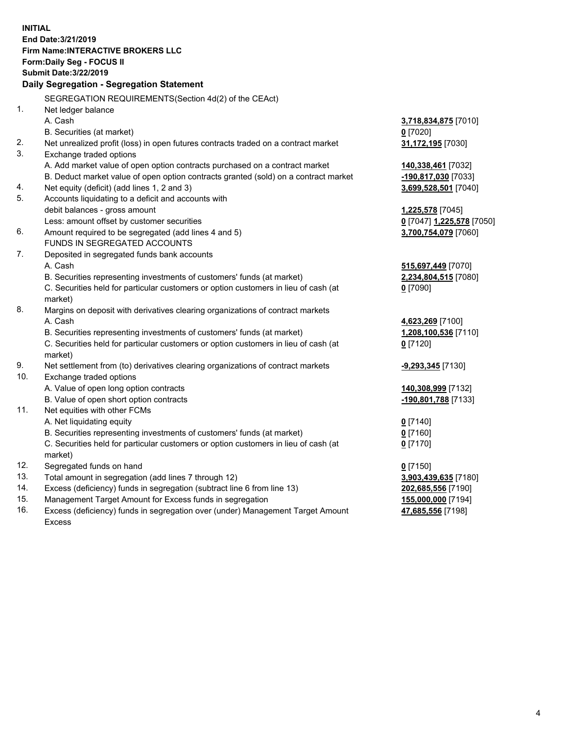**INITIAL End Date:3/21/2019 Firm Name:INTERACTIVE BROKERS LLC Form:Daily Seg - FOCUS II Submit Date:3/22/2019 Daily Segregation - Segregation Statement** SEGREGATION REQUIREMENTS(Section 4d(2) of the CEAct) 1. Net ledger balance A. Cash **3,718,834,875** [7010] B. Securities (at market) **0** [7020] 2. Net unrealized profit (loss) in open futures contracts traded on a contract market **31,172,195** [7030] 3. Exchange traded options A. Add market value of open option contracts purchased on a contract market **140,338,461** [7032] B. Deduct market value of open option contracts granted (sold) on a contract market **-190,817,030** [7033] 4. Net equity (deficit) (add lines 1, 2 and 3) **3,699,528,501** [7040] 5. Accounts liquidating to a deficit and accounts with debit balances - gross amount **1,225,578** [7045] Less: amount offset by customer securities **0** [7047] **1,225,578** [7050] 6. Amount required to be segregated (add lines 4 and 5) **3,700,754,079** [7060] FUNDS IN SEGREGATED ACCOUNTS 7. Deposited in segregated funds bank accounts A. Cash **515,697,449** [7070] B. Securities representing investments of customers' funds (at market) **2,234,804,515** [7080] C. Securities held for particular customers or option customers in lieu of cash (at market) **0** [7090] 8. Margins on deposit with derivatives clearing organizations of contract markets A. Cash **4,623,269** [7100] B. Securities representing investments of customers' funds (at market) **1,208,100,536** [7110] C. Securities held for particular customers or option customers in lieu of cash (at market) **0** [7120] 9. Net settlement from (to) derivatives clearing organizations of contract markets **-9,293,345** [7130] 10. Exchange traded options A. Value of open long option contracts **140,308,999** [7132] B. Value of open short option contracts **-190,801,788** [7133] 11. Net equities with other FCMs A. Net liquidating equity **0** [7140] B. Securities representing investments of customers' funds (at market) **0** [7160] C. Securities held for particular customers or option customers in lieu of cash (at market) **0** [7170] 12. Segregated funds on hand **0** [7150] 13. Total amount in segregation (add lines 7 through 12) **3,903,439,635** [7180] 14. Excess (deficiency) funds in segregation (subtract line 6 from line 13) **202,685,556** [7190] 15. Management Target Amount for Excess funds in segregation **155,000,000** [7194]

16. Excess (deficiency) funds in segregation over (under) Management Target Amount Excess

**47,685,556** [7198]